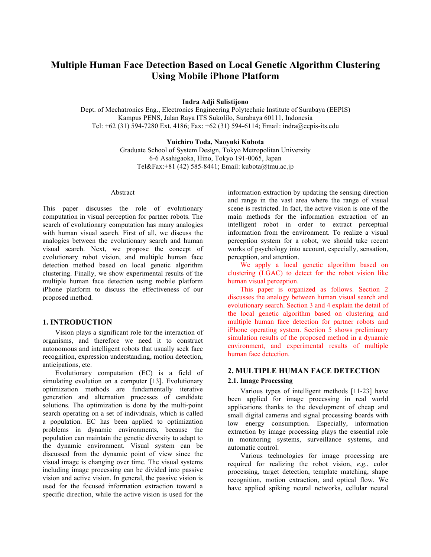# **Multiple Human Face Detection Based on Local Genetic Algorithm Clustering Using Mobile iPhone Platform**

**Indra Adji Sulistijono** 

Dept. of Mechatronics Eng., Electronics Engineering Polytechnic Institute of Surabaya (EEPIS) Kampus PENS, Jalan Raya ITS Sukolilo, Surabaya 60111, Indonesia Tel: +62 (31) 594-7280 Ext. 4186; Fax: +62 (31) 594-6114; Email: indra@eepis-its.edu

#### **Yuichiro Toda, Naoyuki Kubota**

Graduate School of System Design, Tokyo Metropolitan University 6-6 Asahigaoka, Hino, Tokyo 191-0065, Japan Tel&Fax:+81 (42) 585-8441; Email: kubota@tmu.ac.jp

#### Abstract

This paper discusses the role of evolutionary computation in visual perception for partner robots. The search of evolutionary computation has many analogies with human visual search. First of all, we discuss the analogies between the evolutionary search and human visual search. Next, we propose the concept of evolutionary robot vision, and multiple human face detection method based on local genetic algorithm clustering. Finally, we show experimental results of the multiple human face detection using mobile platform iPhone platform to discuss the effectiveness of our proposed method.

## **1. INTRODUCTION**

Vision plays a significant role for the interaction of organisms, and therefore we need it to construct autonomous and intelligent robots that usually seek face recognition, expression understanding, motion detection, anticipations, etc.

Evolutionary computation (EC) is a field of simulating evolution on a computer [13]. Evolutionary optimization methods are fundamentally iterative generation and alternation processes of candidate solutions. The optimization is done by the multi-point search operating on a set of individuals, which is called a population. EC has been applied to optimization problems in dynamic environments, because the population can maintain the genetic diversity to adapt to the dynamic environment. Visual system can be discussed from the dynamic point of view since the visual image is changing over time. The visual systems including image processing can be divided into passive vision and active vision. In general, the passive vision is used for the focused information extraction toward a specific direction, while the active vision is used for the

information extraction by updating the sensing direction and range in the vast area where the range of visual scene is restricted. In fact, the active vision is one of the main methods for the information extraction of an intelligent robot in order to extract perceptual information from the environment. To realize a visual perception system for a robot, we should take recent works of psychology into account, especially, sensation, perception, and attention.

We apply a local genetic algorithm based on clustering (LGAC) to detect for the robot vision like human visual perception.

This paper is organized as follows. Section 2 discusses the analogy between human visual search and evolutionary search. Section 3 and 4 explain the detail of the local genetic algorithm based on clustering and multiple human face detection for partner robots and iPhone operating system. Section 5 shows preliminary simulation results of the proposed method in a dynamic environment, and experimental results of multiple human face detection.

# **2. MULTIPLE HUMAN FACE DETECTION 2.1. Image Processing**

Various types of intelligent methods [11-23] have been applied for image processing in real world applications thanks to the development of cheap and small digital cameras and signal processing boards with low energy consumption. Especially, information extraction by image processing plays the essential role in monitoring systems, surveillance systems, and automatic control.

Various technologies for image processing are required for realizing the robot vision, *e.g.*, color processing, target detection, template matching, shape recognition, motion extraction, and optical flow. We have applied spiking neural networks, cellular neural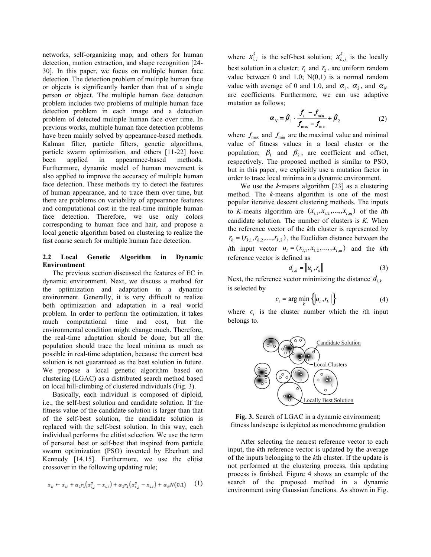networks, self-organizing map, and others for human detection, motion extraction, and shape recognition [24- 30]. In this paper, we focus on multiple human face detection. The detection problem of multiple human face or objects is significantly harder than that of a single person or object. The multiple human face detection problem includes two problems of multiple human face detection problem in each image and a detection problem of detected multiple human face over time. In previous works, multiple human face detection problems have been mainly solved by appearance-based methods. Kalman filter, particle filters, genetic algorithms, particle swarm optimization, and others [11-22] have been applied in appearance-based methods. Furthermore, dynamic model of human movement is also applied to improve the accuracy of multiple human face detection. These methods try to detect the features of human appearance, and to trace them over time, but there are problems on variability of appearance features and computational cost in the real-time multiple human face detection. Therefore, we use only colors corresponding to human face and hair, and propose a local genetic algorithm based on clustering to realize the fast coarse search for multiple human face detection.

#### **2.2 Local Genetic Algorithm in Dynamic Environtment**

The previous section discussed the features of EC in dynamic environment. Next, we discuss a method for the optimization and adaptation in a dynamic environment. Generally, it is very difficult to realize both optimization and adaptation in a real world problem. In order to perform the optimization, it takes much computational time and cost, but the environmental condition might change much. Therefore, the real-time adaptation should be done, but all the population should trace the local minima as much as possible in real-time adaptation, because the current best solution is not guaranteed as the best solution in future. We propose a local genetic algorithm based on clustering (LGAC) as a distributed search method based on local hill-climbing of clustered individuals (Fig. 3).

Basically, each individual is composed of diploid, i.e., the self-best solution and candidate solution. If the fitness value of the candidate solution is larger than that of the self-best solution, the candidate solution is replaced with the self-best solution. In this way, each individual performs the elitist selection. We use the term of personal best or self-best that inspired from particle swarm optimization (PSO) invented by Eberhart and Kennedy [14,15]. Furthermore, we use the elitist crossover in the following updating rule;

$$
x_{ij} \leftarrow x_{ij} + \alpha_1 r_1 (x_{i,j}^5 - x_{i,j}) + \alpha_2 r_2 (x_{i,j}^5 - x_{i,j}) + \alpha_n N(0,1) \quad (1)
$$

where  $x_{i,j}^S$  is the self-best solution;  $x_{L,j}^S$  is the locally best solution in a cluster;  $r_1$  and  $r_2$ , are uniform random value between 0 and 1.0;  $N(0,1)$  is a normal random value with average of 0 and 1.0, and  $\alpha_1$ ,  $\alpha_2$ , and  $\alpha_N$ are coefficients. Furthermore, we can use adaptive mutation as follows;

$$
\alpha_{N} = \beta_{1} \cdot \frac{f_{i} - f_{\min}}{f_{\max} - f_{\min}} + \beta_{2}
$$
 (2)

where  $f_{\text{max}}$  and  $f_{\text{min}}$  are the maximal value and minimal value of fitness values in a local cluster or the population;  $\beta_1$  and  $\beta_2$ , are coefficient and offset, respectively. The proposed method is similar to PSO, but in this paper, we explicitly use a mutation factor in order to trace local minima in a dynamic environment.

We use the *k*-means algorithm [23] as a clustering method. The *k*-means algorithm is one of the most popular iterative descent clustering methods. The inputs to *K*-means algorithm are  $(x_{i,1}, x_{i,2},...,x_{i,m})$  of the *i*th candidate solution. The number of clusters is *K*. When the reference vector of the *k*th cluster is represented by  $r_k = (r_{k,1}, r_{k,2}, \dots, r_{k,2})$ , the Euclidian distance between the *i*th input vector  $u_i = (x_{i,1}, x_{i,2}, \dots, x_{i,m})$  and the *k*th reference vector is defined as

$$
d_{i,k} = \left\| u_i \, r_k \right\| \tag{3}
$$

Next, the reference vector minimizing the distance  $d_{i,k}$ is selected by

$$
c_i = \arg\min_k \{ \|u_i, r_k\| \} \tag{4}
$$

where  $c_i$  is the cluster number which the *i*th input belongs to.



**Fig. 3.** Search of LGAC in a dynamic environment; fitness landscape is depicted as monochrome gradation

After selecting the nearest reference vector to each input, the *k*th reference vector is updated by the average of the inputs belonging to the *k*th cluster. If the update is not performed at the clustering process, this updating process is finished. Figure 4 shows an example of the search of the proposed method in a dynamic environment using Gaussian functions. As shown in Fig.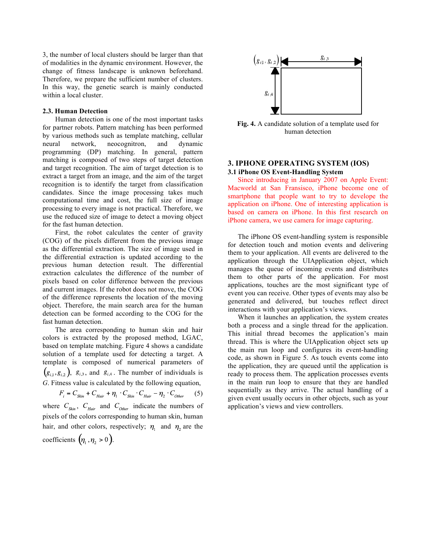3, the number of local clusters should be larger than that of modalities in the dynamic environment. However, the change of fitness landscape is unknown beforehand. Therefore, we prepare the sufficient number of clusters. In this way, the genetic search is mainly conducted within a local cluster.

#### **2.3. Human Detection**

Human detection is one of the most important tasks for partner robots. Pattern matching has been performed by various methods such as template matching, cellular neural network, neocognitron, and dynamic programming (DP) matching. In general, pattern matching is composed of two steps of target detection and target recognition. The aim of target detection is to extract a target from an image, and the aim of the target recognition is to identify the target from classification candidates. Since the image processing takes much computational time and cost, the full size of image processing to every image is not practical. Therefore, we use the reduced size of image to detect a moving object for the fast human detection.

First, the robot calculates the center of gravity (COG) of the pixels different from the previous image as the differential extraction. The size of image used in the differential extraction is updated according to the previous human detection result. The differential extraction calculates the difference of the number of pixels based on color difference between the previous and current images. If the robot does not move, the COG of the difference represents the location of the moving object. Therefore, the main search area for the human detection can be formed according to the COG for the fast human detection.

The area corresponding to human skin and hair colors is extracted by the proposed method, LGAC, based on template matching. Figure 4 shows a candidate solution of a template used for detecting a target. A template is composed of numerical parameters of  $(g_{i,1}, g_{i,2})$ ,  $g_{i,3}$ , and  $g_{i,4}$ . The number of individuals is *G*. Fitness value is calculated by the following equation,

 $F_{_{i}}=C_{_{Skin}}+C_{_{Hair}}+\eta_{_{1}}\cdot C_{_{Skin}}\cdot C_{_{Hair}}-\eta_{_{2}}\cdot C_{_{Other}}$  (5) where  $C_{Skin}$ ,  $C_{Hair}$  and  $C_{Other}$  indicate the numbers of pixels of the colors corresponding to human skin, human hair, and other colors, respectively;  $\eta_1$  and  $\eta_2$  are the coefficients  $(\eta_1, \eta_2 > 0)$ .



**Fig. 4.** A candidate solution of a template used for human detection

## **3. IPHONE OPERATING SYSTEM (IOS) 3.1 iPhone OS Event-Handling System**

Since introducing in January 2007 on Apple Event: Macworld at San Fransisco, iPhone become one of smartphone that people want to try to develope the application on iPhone. One of interesting application is based on camera on iPhone. In this first research on iPhone camera, we use camera for image capturing.

The iPhone OS event-handling system is responsible for detection touch and motion events and delivering them to your application. All events are delivered to the application through the UIApplication object, which manages the queue of incoming events and distributes them to other parts of the application. For most applications, touches are the most significant type of event you can receive. Other types of events may also be generated and delivered, but touches reflect direct interactions with your application's views.

When it launches an application, the system creates both a process and a single thread for the application. This initial thread becomes the application's main thread. This is where the UIApplication object sets up the main run loop and configures its event-handling code, as shown in Figure 5. As touch events come into the application, they are queued until the application is ready to process them. The application processes events in the main run loop to ensure that they are handled sequentially as they arrive. The actual handling of a given event usually occurs in other objects, such as your application's views and view controllers.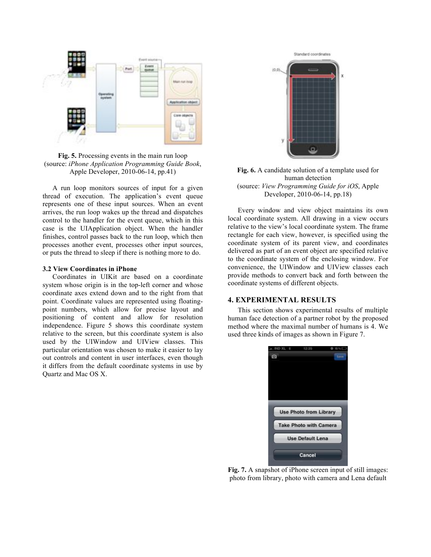

**Fig. 5.** Processing events in the main run loop (source: *iPhone Application Programming Guide Book*, Apple Developer, 2010-06-14, pp.41)

A run loop monitors sources of input for a given thread of execution. The application's event queue represents one of these input sources. When an event arrives, the run loop wakes up the thread and dispatches control to the handler for the event queue, which in this case is the UIApplication object. When the handler finishes, control passes back to the run loop, which then processes another event, processes other input sources, or puts the thread to sleep if there is nothing more to do.

#### **3.2 View Coordinates in iPhone**

Coordinates in UIKit are based on a coordinate system whose origin is in the top-left corner and whose coordinate axes extend down and to the right from that point. Coordinate values are represented using floatingpoint numbers, which allow for precise layout and positioning of content and allow for resolution independence. Figure 5 shows this coordinate system relative to the screen, but this coordinate system is also used by the UIWindow and UIView classes. This particular orientation was chosen to make it easier to lay out controls and content in user interfaces, even though it differs from the default coordinate systems in use by Quartz and Mac OS X.



**Fig. 6.** A candidate solution of a template used for human detection (source: *View Programming Guide for iOS*, Apple Developer, 2010-06-14, pp.18)

Every window and view object maintains its own local coordinate system. All drawing in a view occurs relative to the view's local coordinate system. The frame rectangle for each view, however, is specified using the coordinate system of its parent view, and coordinates delivered as part of an event object are specified relative to the coordinate system of the enclosing window. For convenience, the UIWindow and UIView classes each provide methods to convert back and forth between the coordinate systems of different objects.

# **4. EXPERIMENTAL RESULTS**

This section shows experimental results of multiple human face detection of a partner robot by the proposed method where the maximal number of humans is 4. We used three kinds of images as shown in Figure 7.



**Fig. 7.** A snapshot of iPhone screen input of still images: photo from library, photo with camera and Lena default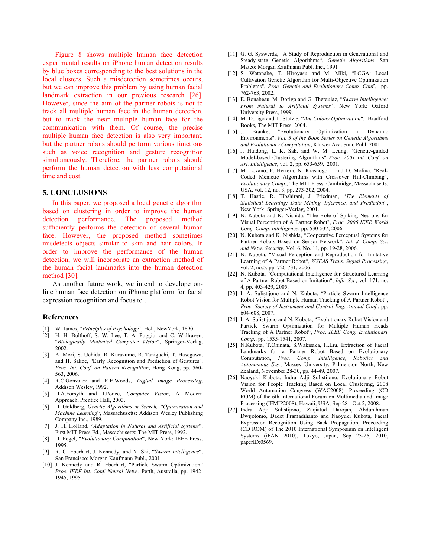Figure 8 shows multiple human face detection experimental results on iPhone human detection results by blue boxes corresponding to the best solutions in the local clusters. Such a misdetection sometimes occurs, but we can improve this problem by using human facial landmark extraction in our previous research [26]. However, since the aim of the partner robots is not to track all multiple human face in the human detection, but to track the near multiple human face for the communication with them. Of course, the precise multiple human face detection is also very important, but the partner robots should perform various functions such as voice recognition and gesture recognition simultaneously. Therefore, the partner robots should perform the human detection with less computational time and cost.

#### **5. CONCLUSIONS**

In this paper, we proposed a local genetic algorithm based on clustering in order to improve the human detection performance. The proposed method sufficiently performs the detection of several human face. However, the proposed method sometimes misdetects objects similar to skin and hair colors. In order to improve the performance of the human detection, we will incorporate an extraction method of the human facial landmarks into the human detection method [30].

As another future work, we intend to develope online human face detection on iPhone platform for facial expression recognition and focus to .

#### **References**

- [1] W. James, "*Principles of Psychology*", Holt, NewYork, 1890.
- [2] H. H. Bulthoff, S. W. Lee, T. A. Poggio, and C. Wallraven, "*Biologically Motivated Computer Vision*", Springer-Verlag, 2002.
- [3] A. Mori, S. Uchida, R. Kurazume, R. Taniguchi, T. Hasegawa, and H. Sakoe, "Early Recognition and Prediction of Gestures", *Proc. Int. Conf. on Pattern Recognition*, Hong Kong, pp. 560- 563, 2006.
- [4] R.C.Gonzalez and R.E.Woods, *Digital Image Processing*, Addison Wesley, 1992.
- [5] D.A.Forsyth and J.Ponce, *Computer Vision*, A Modern Approach, Prentice Hall, 2003.
- [6] D. Goldberg, *Genetic Algorithms in Search, "Optimization and Machine Learning*", Massachusetts: Addison Wesley Publishing Company Inc., 1989.
- [7] J. H. Holland, "*Adaptation in Natural and Artificial Systems*", First MIT Press Ed., Massachusetts: The MIT Press, 1992.
- [8] D. Fogel, "*Evolutionary Computation*", New York: IEEE Press, 1995.
- [9] R. C. Eberhart, J. Kennedy, and Y. Shi, "*Swarm Intelligence*", San Francisco: Morgan Kaufmann Publ., 2001.
- [10] J. Kennedy and R. Eberhart, "Particle Swarm Optimization" *Proc. IEEE Int. Conf. Neural Netw.*, Perth, Australia, pp. 1942- 1945, 1995.
- [11] G. G. Syswerda, "A Study of Reproduction in Generational and Steady-state Genetic Algorithms", *Genetic Algorithms*, San Mateo: Morgan Kaufmann Publ. Inc., 1991
- [12] S. Watanabe, T. Hiroyasu and M. Miki, "LCGA: Local Cultivation Genetic Algorithm for Multi-Objective Optimization Problems", *Proc. Genetic and Evolutionary Comp. Conf.,* pp. 762-763, 2002.
- [13] E. Bonabeau, M. Dorigo and G. Theraulaz, "*Swarm Intelligence: From Natural to Artificial Systems*", New York: Oxford University Press, 1999.
- [14] M. Dorigo and T. Stutzle, "*Ant Colony Optimization*", Bradford Books, The MIT Press, 2004.<br>J. Branke, "Evolutionary"
- [15] J. Branke, "Evolutionary Optimization in Dynamic Environments", *Vol. 3 of the Book Series on Genetic Algorithms and Evolutionary Computation*, Kluwer Academic Publ. 2001.
- [16] J. Huidong, L. K. Sak, and W. M. Leung, "Genetic-guided Model-based Clustering Algorithms" *Proc. 2001 Int. Conf. on Art. Intelligence*, vol. 2, pp. 653-659, 2001.
- [17] M. Lozano, F. Herrera, N. Krasnogor, and D. Molina. "Real-Coded Memetic Algorithms with Crossover Hill-Climbing", *Evolutionary Comp.*, The MIT Press, Cambridge, Massachusetts, USA, vol. 12, no. 3, pp. 273-302, 2004.
- [18] T. Hastie, R. Tibshirani, J. Friedman, "*The Elements of Statistical Learning: Data Mining, Inference, and Prediction*", New York: Springer-Verlag, 2001.
- [19] N. Kubota and K. Nishida, "The Role of Spiking Neurons for Visual Perception of A Partner Robot", *Proc. 2006 IEEE World Cong. Comp. Intelligence*, pp. 530-537, 2006.
- [20] N. Kubota and K. Nishida, "Cooperative Perceptual Systems for Partner Robots Based on Sensor Network", *Int. J. Comp. Sci. and Netw. Security,* Vol. 6, No. 11, pp. 19-28, 2006.
- [21] N. Kubota, "Visual Perception and Reproduction for Imitative Learning of A Partner Robot", *WSEAS Trans. Signal Processing*, vol. 2, no.5, pp. 726-731, 2006.
- [22] N. Kubota, "Computational Intelligence for Structured Learning of A Partner Robot Based on Imitation", *Info. Sci.,* vol. 171, no. 4, pp. 403-429, 2005.
- [23] I. A. Sulistijono and N. Kubota, "Particle Swarm Intelligence Robot Vision for Multiple Human Tracking of A Partner Robot", *Proc. Society of Instrument and Control Eng. Annual Conf.*, pp. 604-608, 2007.
- [24] I. A. Sulistijono and N. Kubota, "Evolutionary Robot Vision and Particle Swarm Optimization for Multiple Human Heads Tracking of A Partner Robot", *Proc. IEEE Cong. Evolutionary Comp.*, pp. 1535-1541, 2007.
- [25] N.Kubota, T.Ohinata, S.Wakisaka, H.Liu, Extraction of Facial Landmarks for a Partner Robot Based on Evolutionary Computation, *Proc. Comp. Intelligence, Robotics and Autonomous Sys.*, Massey University, Palmerston North, New Zealand, November 28-30, pp. 44-49, 2007.
- [26] Naoyuki Kubota, Indra Adji Sulistijono, Evolutionary Robot Vision for People Tracking Based on Local Clustering, 2008 World Automation Congress (WAC2008), Proceeding (CD ROM) of the 6th International Forum on Multimedia and Image Processing (IFMIP2008), Hawaii, USA, Sep 28 - Oct 2, 2008.
- [27] Indra Adji Sulistijono, Zaqiatud Darojah, Abdurahman Dwijotomo, Dadet Pramadihanto and Naoyuki Kubota, Facial Expression Recognition Using Back Propagation, Proceeding (CD ROM) of The 2010 International Symposium on Intelligent Systems (iFAN 2010), Tokyo, Japan, Sep 25-26, 2010, paperID:0569.